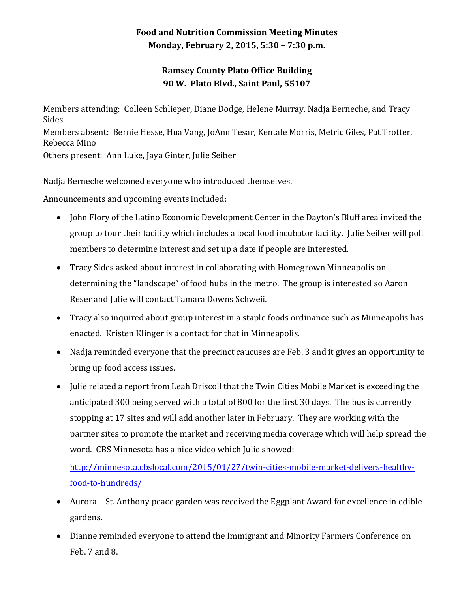## **Food and Nutrition Commission Meeting Minutes Monday, February 2, 2015, 5:30 – 7:30 p.m.**

## **Ramsey County Plato Office Building 90 W. Plato Blvd., Saint Paul, 55107**

Members attending: Colleen Schlieper, Diane Dodge, Helene Murray, Nadja Berneche, and Tracy Sides Members absent: Bernie Hesse, Hua Vang, JoAnn Tesar, Kentale Morris, Metric Giles, Pat Trotter, Rebecca Mino Others present: Ann Luke, Jaya Ginter, Julie Seiber

Nadja Berneche welcomed everyone who introduced themselves.

Announcements and upcoming events included:

- John Flory of the Latino Economic Development Center in the Dayton's Bluff area invited the group to tour their facility which includes a local food incubator facility. Julie Seiber will poll members to determine interest and set up a date if people are interested.
- Tracy Sides asked about interest in collaborating with Homegrown Minneapolis on determining the "landscape" of food hubs in the metro. The group is interested so Aaron Reser and Julie will contact Tamara Downs Schweii.
- Tracy also inquired about group interest in a staple foods ordinance such as Minneapolis has enacted. Kristen Klinger is a contact for that in Minneapolis.
- Nadja reminded everyone that the precinct caucuses are Feb. 3 and it gives an opportunity to bring up food access issues.
- Julie related a report from Leah Driscoll that the Twin Cities Mobile Market is exceeding the anticipated 300 being served with a total of 800 for the first 30 days. The bus is currently stopping at 17 sites and will add another later in February. They are working with the partner sites to promote the market and receiving media coverage which will help spread the word. CBS Minnesota has a nice video which Julie showed:

[http://minnesota.cbslocal.com/2015/01/27/twin-cities-mobile-market-delivers-healthy](http://minnesota.cbslocal.com/2015/01/27/twin-cities-mobile-market-delivers-healthy-food-to-hundreds/)[food-to-hundreds/](http://minnesota.cbslocal.com/2015/01/27/twin-cities-mobile-market-delivers-healthy-food-to-hundreds/)

- Aurora St. Anthony peace garden was received the Eggplant Award for excellence in edible gardens.
- Dianne reminded everyone to attend the Immigrant and Minority Farmers Conference on Feb. 7 and 8.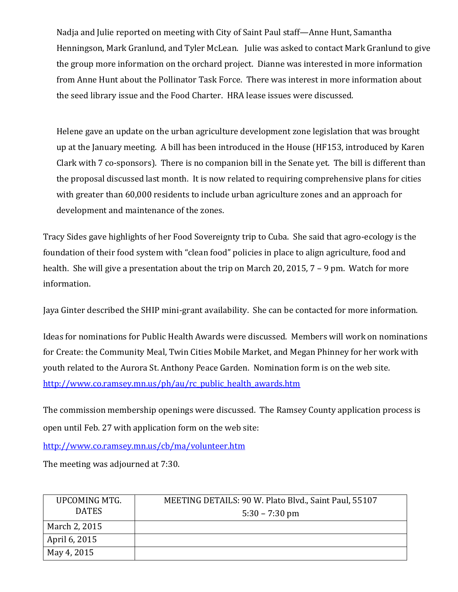Nadja and Julie reported on meeting with City of Saint Paul staff—Anne Hunt, Samantha Henningson, Mark Granlund, and Tyler McLean. Julie was asked to contact Mark Granlund to give the group more information on the orchard project. Dianne was interested in more information from Anne Hunt about the Pollinator Task Force. There was interest in more information about the seed library issue and the Food Charter. HRA lease issues were discussed.

Helene gave an update on the urban agriculture development zone legislation that was brought up at the January meeting. A bill has been introduced in the House (HF153, introduced by Karen Clark with 7 co-sponsors). There is no companion bill in the Senate yet. The bill is different than the proposal discussed last month. It is now related to requiring comprehensive plans for cities with greater than 60,000 residents to include urban agriculture zones and an approach for development and maintenance of the zones.

Tracy Sides gave highlights of her Food Sovereignty trip to Cuba. She said that agro-ecology is the foundation of their food system with "clean food" policies in place to align agriculture, food and health. She will give a presentation about the trip on March 20, 2015, 7 – 9 pm. Watch for more information.

Jaya Ginter described the SHIP mini-grant availability. She can be contacted for more information.

Ideas for nominations for Public Health Awards were discussed. Members will work on nominations for Create: the Community Meal, Twin Cities Mobile Market, and Megan Phinney for her work with youth related to the Aurora St. Anthony Peace Garden. Nomination form is on the web site. [http://www.co.ramsey.mn.us/ph/au/rc\\_public\\_health\\_awards.htm](http://www.co.ramsey.mn.us/ph/au/rc_public_health_awards.htm)

The commission membership openings were discussed. The Ramsey County application process is open until Feb. 27 with application form on the web site:

<http://www.co.ramsey.mn.us/cb/ma/volunteer.htm>

The meeting was adjourned at 7:30.

| UPCOMING MTG. | MEETING DETAILS: 90 W. Plato Blvd., Saint Paul, 55107 |
|---------------|-------------------------------------------------------|
| <b>DATES</b>  | $5:30 - 7:30$ pm                                      |
| March 2, 2015 |                                                       |
| April 6, 2015 |                                                       |
| May 4, 2015   |                                                       |